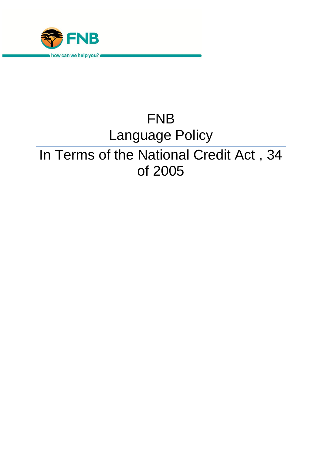

# FNB Language Policy In Terms of the National Credit Act , 34 of 2005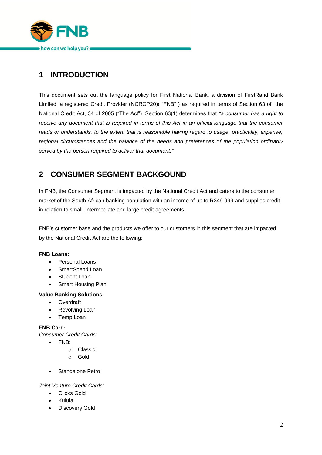

# **1 INTRODUCTION**

This document sets out the language policy for First National Bank, a division of FirstRand Bank Limited, a registered Credit Provider (NCRCP20)( "FNB" ) as required in terms of Section 63 of the National Credit Act, 34 of 2005 ("The Act"). Section 63(1) determines that *"a consumer has a right to receive any document that is required in terms of this Act in an official language that the consumer reads or understands, to the extent that is reasonable having regard to usage, practicality, expense, regional circumstances and the balance of the needs and preferences of the population ordinarily served by the person required to deliver that document."* 

# **2 CONSUMER SEGMENT BACKGOUND**

In FNB, the Consumer Segment is impacted by the National Credit Act and caters to the consumer market of the South African banking population with an income of up to R349 999 and supplies credit in relation to small, intermediate and large credit agreements.

FNB's customer base and the products we offer to our customers in this segment that are impacted by the National Credit Act are the following:

#### **FNB Loans:**

- Personal Loans
- SmartSpend Loan
- Student Loan
- Smart Housing Plan

#### **Value Banking Solutions:**

- Overdraft
- Revolving Loan
- Temp Loan

#### **FNB Card:**

*Consumer Credit Cards:*

- FNB:
	- o Classic
	- o Gold
- Standalone Petro

#### *Joint Venture Credit Cards:*

- Clicks Gold
- Kulula
- **•** Discovery Gold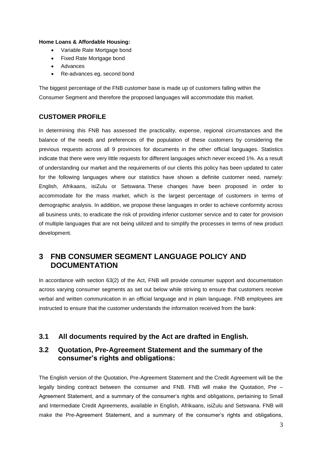#### **Home Loans & Affordable Housing:**

- Variable Rate Mortgage bond
- Fixed Rate Mortgage bond
- Advances
- Re-advances eg, second bond

The biggest percentage of the FNB customer base is made up of customers falling within the Consumer Segment and therefore the proposed languages will accommodate this market.

#### **CUSTOMER PROFILE**

In determining this FNB has assessed the practicality, expense, regional circumstances and the balance of the needs and preferences of the population of these customers by considering the previous requests across all 9 provinces for documents in the other official languages. Statistics indicate that there were very little requests for different languages which never exceed 1%. As a result of understanding our market and the requirements of our clients this policy has been updated to cater for the following languages where our statistics have shown a definite customer need, namely: English, Afrikaans, isiZulu or Setswana. These changes have been proposed in order to accommodate for the mass market, which is the largest percentage of customers in terms of demographic analysis. In addition, we propose these languages in order to achieve conformity across all business units, to eradicate the risk of providing inferior customer service and to cater for provision of multiple languages that are not being utilized and to simplify the processes in terms of new product development.

## **3 FNB CONSUMER SEGMENT LANGUAGE POLICY AND DOCUMENTATION**

In accordance with section 63(2) of the Act, FNB will provide consumer support and documentation across varying consumer segments as set out below while striving to ensure that customers receive verbal and written communication in an official language and in plain language. FNB employees are instructed to ensure that the customer understands the information received from the bank:

## **3.1 All documents required by the Act are drafted in English.**

## **3.2 Quotation, Pre-Agreement Statement and the summary of the consumer's rights and obligations:**

The English version of the Quotation, Pre-Agreement Statement and the Credit Agreement will be the legally binding contract between the consumer and FNB. FNB will make the Quotation, Pre – Agreement Statement, and a summary of the consumer's rights and obligations, pertaining to Small and Intermediate Credit Agreements, available in English, Afrikaans, isiZulu and Setswana. FNB will make the Pre-Agreement Statement, and a summary of the consumer's rights and obligations,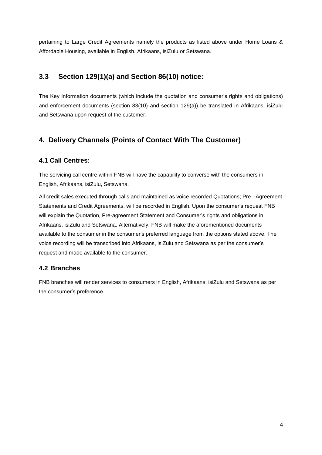pertaining to Large Credit Agreements namely the products as listed above under Home Loans & Affordable Housing, available in English, Afrikaans, isiZulu or Setswana.

## **3.3 Section 129(1)(a) and Section 86(10) notice:**

The Key Information documents (which include the quotation and consumer's rights and obligations) and enforcement documents (section 83(10) and section 129(a)) be translated in Afrikaans, isiZulu and Setswana upon request of the customer.

## **4. Delivery Channels (Points of Contact With The Customer)**

#### **4.1 Call Centres:**

The servicing call centre within FNB will have the capability to converse with the consumers in English, Afrikaans, isiZulu, Setswana.

All credit sales executed through calls and maintained as voice recorded Quotations; Pre –Agreement Statements and Credit Agreements, will be recorded in English. Upon the consumer's request FNB will explain the Quotation, Pre-agreement Statement and Consumer's rights and obligations in Afrikaans, isiZulu and Setswana. Alternatively, FNB will make the aforementioned documents available to the consumer in the consumer's preferred language from the options stated above. The voice recording will be transcribed into Afrikaans, isiZulu and Setswana as per the consumer's request and made available to the consumer.

## **4.2 Branches**

FNB branches will render services to consumers in English, Afrikaans, isiZulu and Setswana as per the consumer's preference.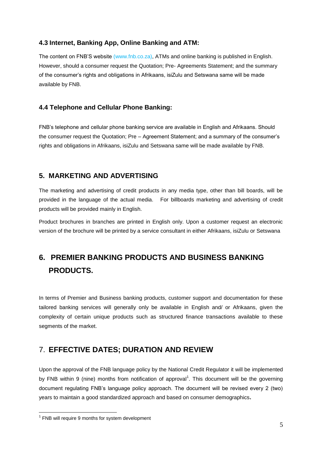#### **4.3 Internet, Banking App, Online Banking and ATM:**

The content on FNB'S website [\(www.fnb.co.za\)](http://www.fnb.co.za/), ATMs and online banking is published in English. However, should a consumer request the Quotation; Pre- Agreements Statement; and the summary of the consumer's rights and obligations in Afrikaans, isiZulu and Setswana same will be made available by FNB.

#### **4.4 Telephone and Cellular Phone Banking:**

FNB's telephone and cellular phone banking service are available in English and Afrikaans. Should the consumer request the Quotation; Pre – Agreement Statement; and a summary of the consumer's rights and obligations in Afrikaans, isiZulu and Setswana same will be made available by FNB.

## **5. MARKETING AND ADVERTISING**

The marketing and advertising of credit products in any media type, other than bill boards, will be provided in the language of the actual media. For billboards marketing and advertising of credit products will be provided mainly in English.

Product brochures in branches are printed in English only. Upon a customer request an electronic version of the brochure will be printed by a service consultant in either Afrikaans, isiZulu or Setswana

# **6. PREMIER BANKING PRODUCTS AND BUSINESS BANKING PRODUCTS.**

In terms of Premier and Business banking products, customer support and documentation for these tailored banking services will generally only be available in English and/ or Afrikaans, given the complexity of certain unique products such as structured finance transactions available to these segments of the market.

## 7. **EFFECTIVE DATES; DURATION AND REVIEW**

Upon the approval of the FNB language policy by the National Credit Regulator it will be implemented by FNB within 9 (nine) months from notification of approval<sup>1</sup>. This document will be the governing document regulating FNB's language policy approach. The document will be revised every 2 (two) years to maintain a good standardized approach and based on consumer demographics**.**

1

 $1$  FNB will require 9 months for system development